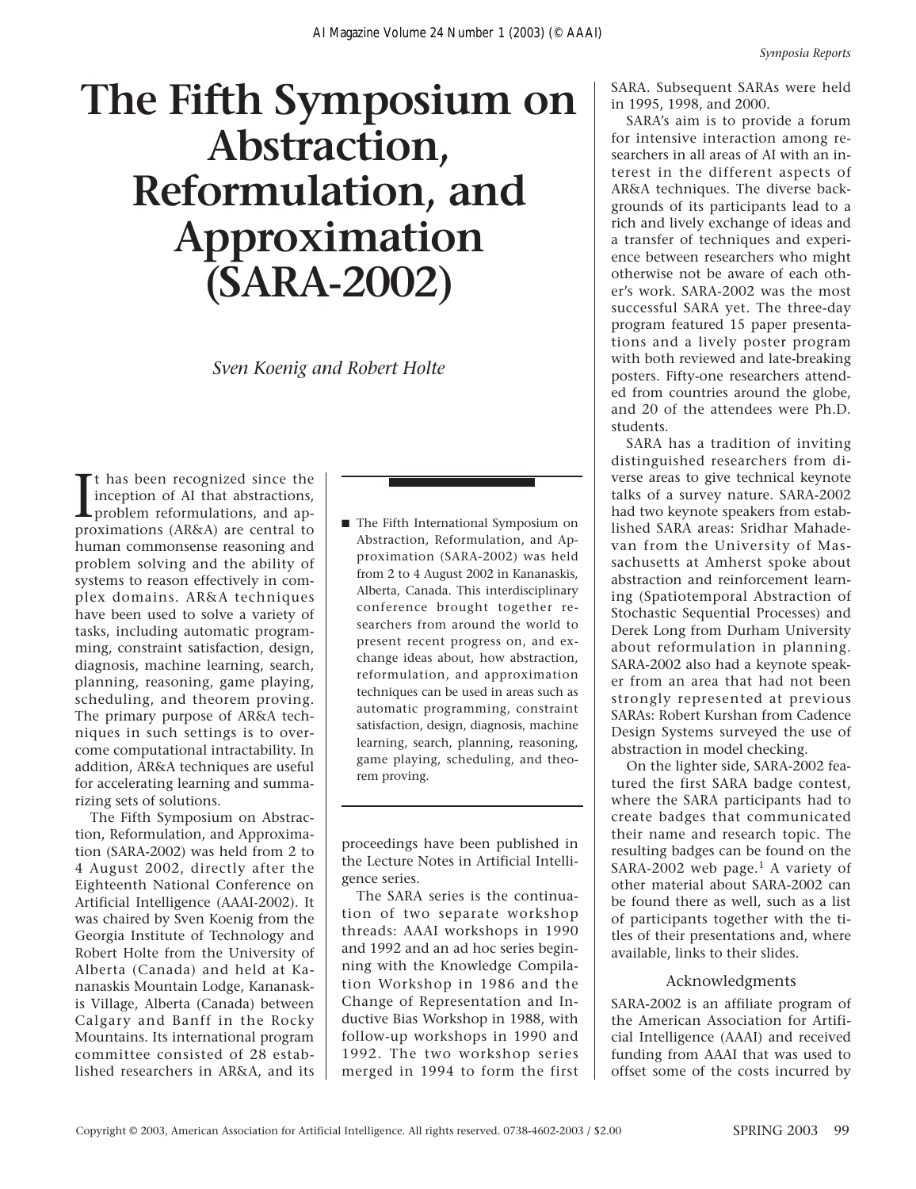## **The Fifth Symposium on Abstraction, Reformulation, and Approximation (SARA-2002)**

*Sven Koenig and Robert Holte*

It has been recognized since the<br>inception of AI that abstractions,<br>problem reformulations, and ap-<br>proximations  $(AR\bar{x}A)$  are central to t has been recognized since the inception of AI that abstractions, proximations (AR&A) are central to human commonsense reasoning and problem solving and the ability of systems to reason effectively in complex domains. AR&A techniques have been used to solve a variety of tasks, including automatic programming, constraint satisfaction, design, diagnosis, machine learning, search, planning, reasoning, game playing, scheduling, and theorem proving. The primary purpose of AR&A techniques in such settings is to overcome computational intractability. In addition, AR&A techniques are useful for accelerating learning and summarizing sets of solutions.

The Fifth Symposium on Abstraction, Reformulation, and Approximation (SARA-2002) was held from 2 to 4 August 2002, directly after the Eighteenth National Conference on Artificial Intelligence (AAAI-2002). It was chaired by Sven Koenig from the Georgia Institute of Technology and Robert Holte from the University of Alberta (Canada) and held at Kananaskis Mountain Lodge, Kananaskis Village, Alberta (Canada) between Calgary and Banff in the Rocky Mountains. Its international program committee consisted of 28 established researchers in AR&A, and its ■ The Fifth International Symposium on Abstraction, Reformulation, and Approximation (SARA-2002) was held from 2 to 4 August 2002 in Kananaskis, Alberta, Canada. This interdisciplinary conference brought together researchers from around the world to present recent progress on, and exchange ideas about, how abstraction, reformulation, and approximation techniques can be used in areas such as automatic programming, constraint satisfaction, design, diagnosis, machine learning, search, planning, reasoning, game playing, scheduling, and theorem proving.

proceedings have been published in the Lecture Notes in Artificial Intelligence series.

The SARA series is the continuation of two separate workshop threads: AAAI workshops in 1990 and 1992 and an ad hoc series beginning with the Knowledge Compilation Workshop in 1986 and the Change of Representation and Inductive Bias Workshop in 1988, with follow-up workshops in 1990 and 1992. The two workshop series merged in 1994 to form the first

SARA. Subsequent SARAs were held in 1995, 1998, and 2000.

SARA's aim is to provide a forum for intensive interaction among researchers in all areas of AI with an interest in the different aspects of AR&A techniques. The diverse backgrounds of its participants lead to a rich and lively exchange of ideas and a transfer of techniques and experience between researchers who might otherwise not be aware of each other's work. SARA-2002 was the most successful SARA yet. The three-day program featured 15 paper presentations and a lively poster program with both reviewed and late-breaking posters. Fifty-one researchers attended from countries around the globe, and 20 of the attendees were Ph.D. students.

SARA has a tradition of inviting distinguished researchers from diverse areas to give technical keynote talks of a survey nature. SARA-2002 had two keynote speakers from established SARA areas: Sridhar Mahadevan from the University of Massachusetts at Amherst spoke about abstraction and reinforcement learning (Spatiotemporal Abstraction of Stochastic Sequential Processes) and Derek Long from Durham University about reformulation in planning. SARA-2002 also had a keynote speaker from an area that had not been strongly represented at previous SARAs: Robert Kurshan from Cadence Design Systems surveyed the use of abstraction in model checking.

On the lighter side, SARA-2002 featured the first SARA badge contest, where the SARA participants had to create badges that communicated their name and research topic. The resulting badges can be found on the SARA-2002 web page.<sup>1</sup> A variety of other material about SARA-2002 can be found there as well, such as a list of participants together with the titles of their presentations and, where available, links to their slides.

## Acknowledgments

SARA-2002 is an affiliate program of the American Association for Artificial Intelligence (AAAI) and received funding from AAAI that was used to offset some of the costs incurred by